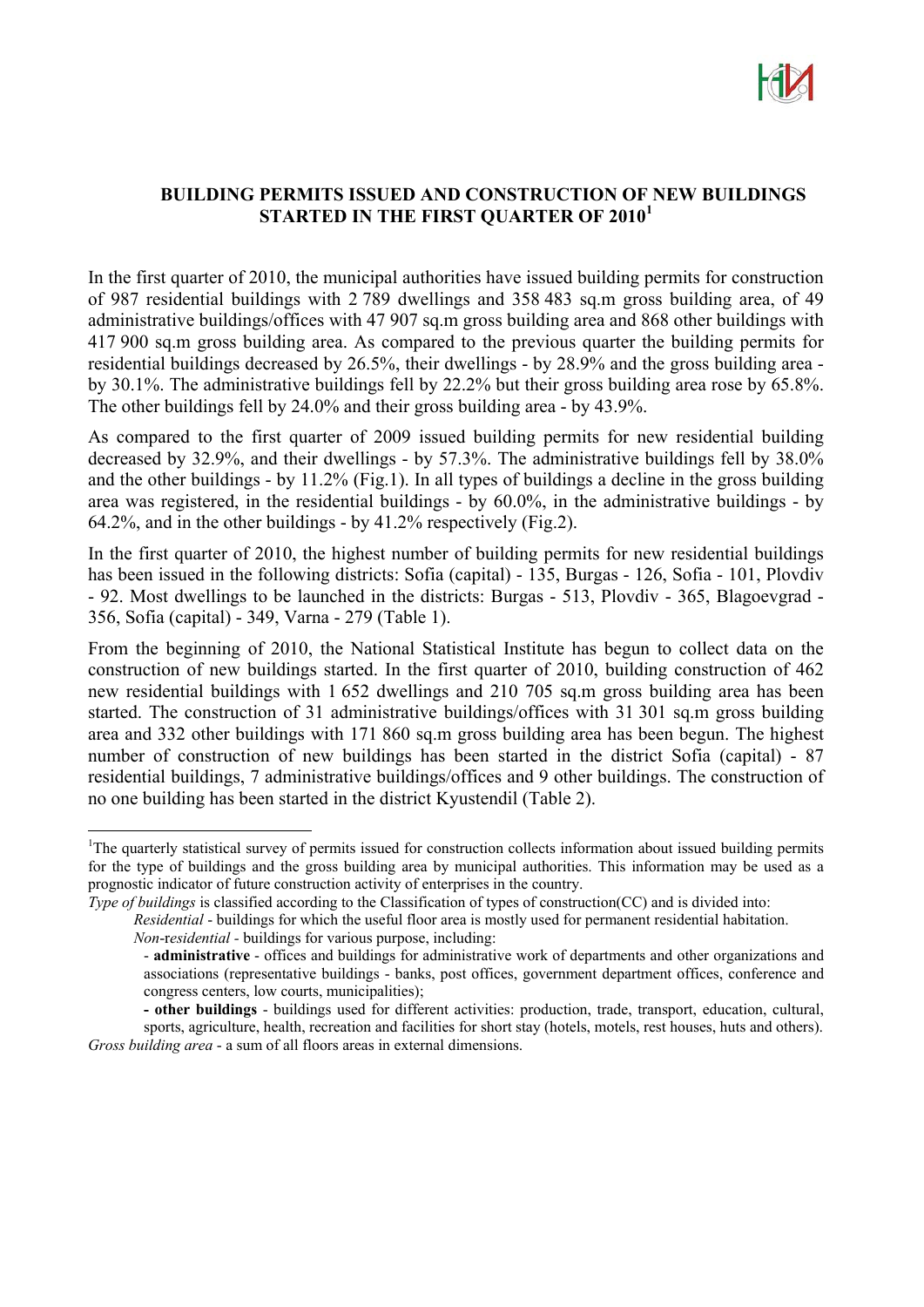

### **BUILDING PERMITS ISSUED AND CONSTRUCTION OF NEW BUILDINGS STARTED IN THE FIRST QUARTER OF 2010<sup>1</sup>**

In the first quarter of 2010, the municipal authorities have issued building permits for construction of 987 residential buildings with 2 789 dwellings and 358 483 sq.m gross building area, of 49 administrative buildings/offices with 47 907 sq.m gross building area and 868 other buildings with 417 900 sq.m gross building area. As compared to the previous quarter the building permits for residential buildings decreased by 26.5%, their dwellings - by 28.9% and the gross building area by 30.1%. The administrative buildings fell by 22.2% but their gross building area rose by 65.8%. The other buildings fell by 24.0% and their gross building area - by 43.9%.

As compared to the first quarter of 2009 issued building permits for new residential building decreased by 32.9%, and their dwellings - by 57.3%. The administrative buildings fell by 38.0% and the other buildings - by 11.2% (Fig.1). In all types of buildings a decline in the gross building area was registered, in the residential buildings - by 60.0%, in the administrative buildings - by 64.2%, and in the other buildings - by  $41.2\%$  respectively (Fig.2).

In the first quarter of 2010, the highest number of building permits for new residential buildings has been issued in the following districts: Sofia (capital) - 135, Burgas - 126, Sofia - 101, Plovdiv - 92. Most dwellings to be launched in the districts: Burgas - 513, Plovdiv - 365, Blagoevgrad - 356, Sofia (capital) - 349, Varna - 279 (Table 1).

From the beginning of 2010, the National Statistical Institute has begun to collect data on the construction of new buildings started. In the first quarter of 2010, building construction of 462 new residential buildings with 1 652 dwellings and 210 705 sq.m gross building area has been started. The construction of 31 administrative buildings/offices with 31 301 sq.m gross building area and 332 other buildings with 171 860 sq.m gross building area has been begun. The highest number of construction of new buildings has been started in the district Sofia (capital) - 87 residential buildings, 7 administrative buildings/offices and 9 other buildings. The construction of no one building has been started in the district Kyustendil (Table 2).

 $\overline{a}$ 

<sup>&</sup>lt;sup>1</sup>The quarterly statistical survey of permits issued for construction collects information about issued building permits for the type of buildings and the gross building area by municipal authorities. This information may be used as a prognostic indicator of future construction activity of enterprises in the country.

*Type of buildings* is classified according to the Classification of types of construction(CC) and is divided into:

*Residential* - buildings for which the useful floor area is mostly used for permanent residential habitation.

*Non*-r*esidential -* buildings for various purpose, including:

<sup>-</sup> **administrative** - offices and buildings for administrative work of departments and other organizations and associations (representative buildings - banks, post offices, government department offices, conference and congress centers, low courts, municipalities);

**<sup>-</sup> other buildings** - buildings used for different activities: production, trade, transport, education, cultural, sports, agriculture, health, recreation and facilities for short stay (hotels, motels, rest houses, huts and others).

*Gross building area* - a sum of all floors areas in external dimensions.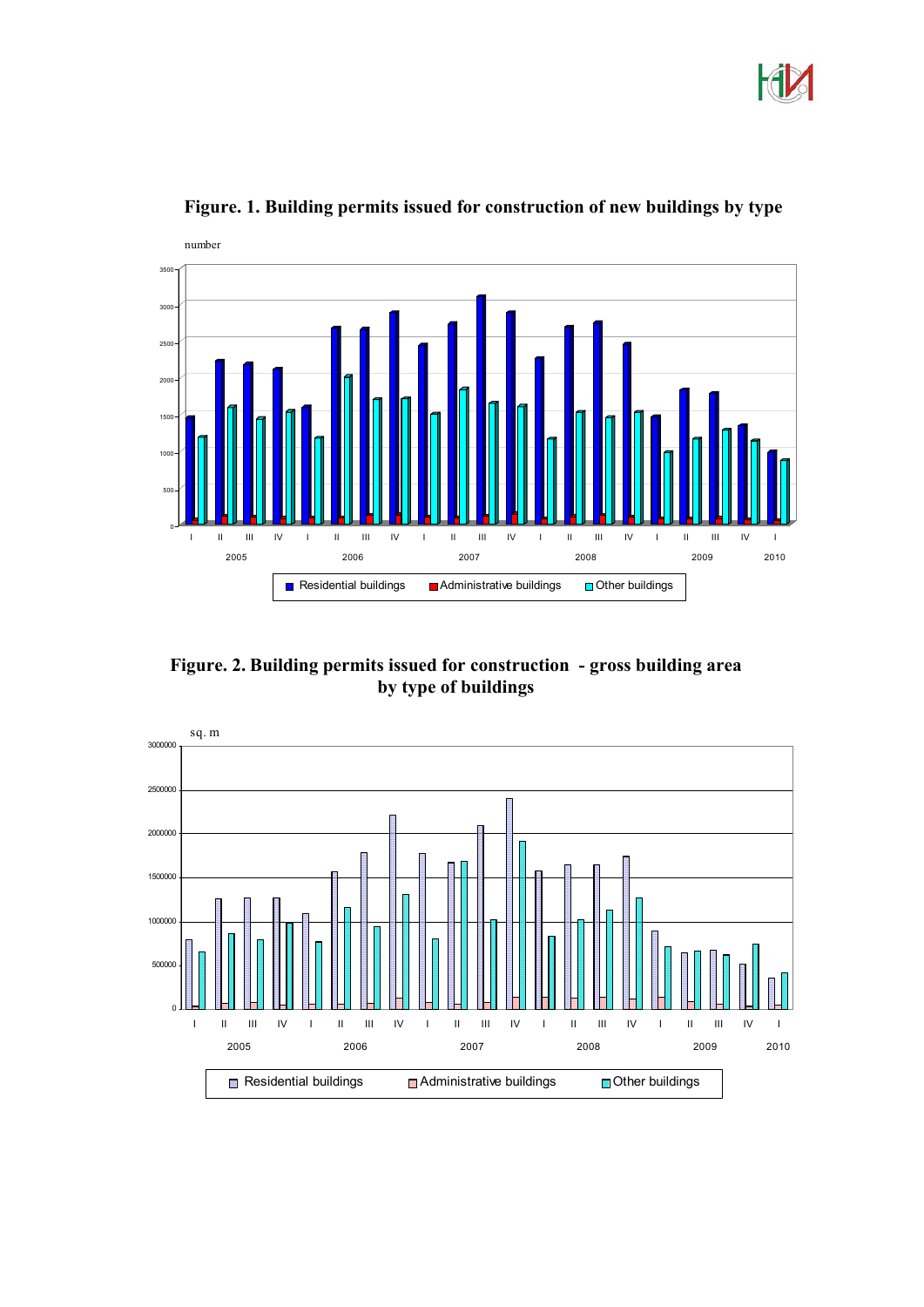



**Figure. 1. Building permits issued for construction of new buildings by type**

**Figure. 2. Building permits issued for construction - gross building area by type of buildings** 

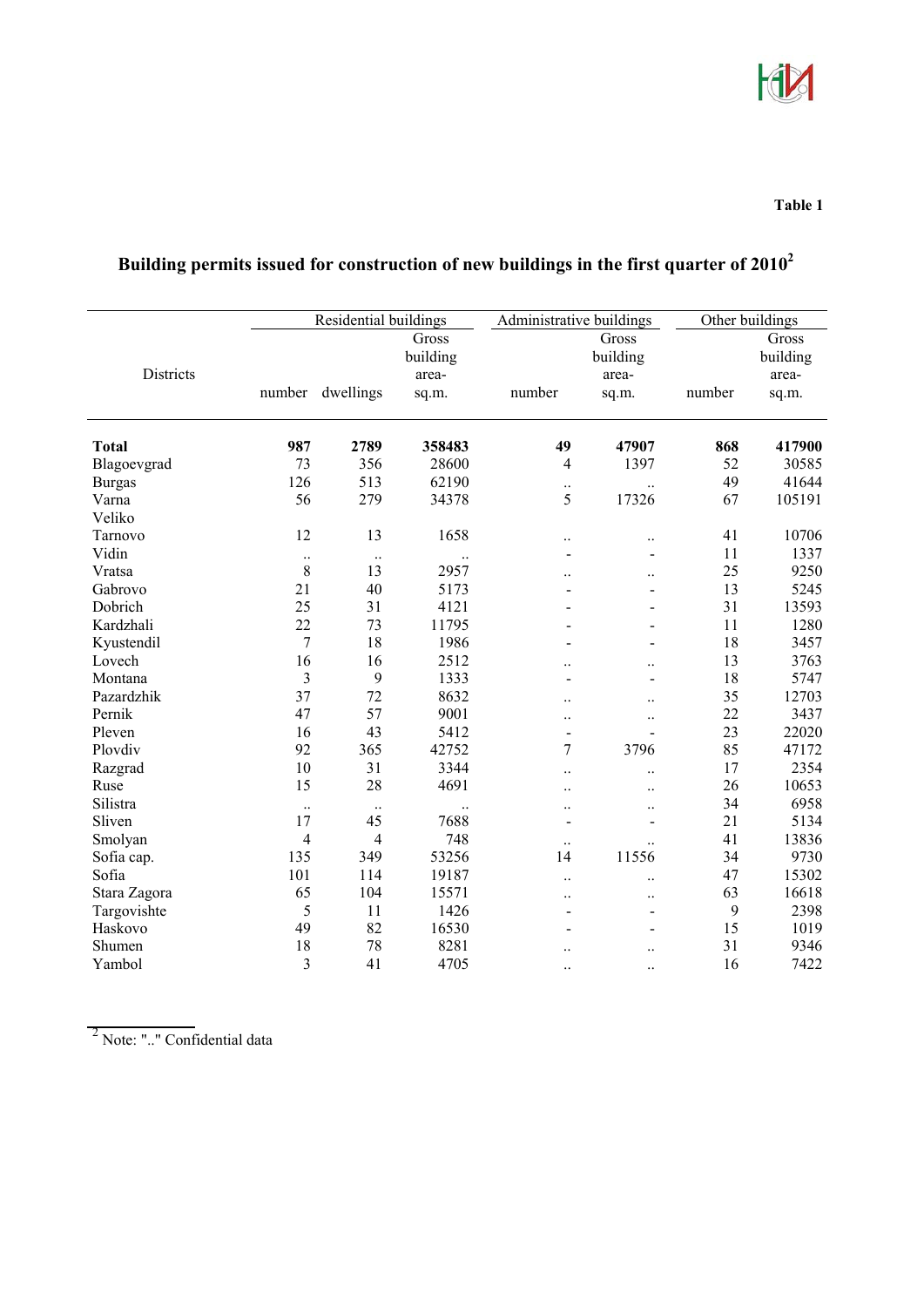

#### **Table 1**

|               | Residential buildings |           |                   | Administrative buildings     |                      | Other buildings |                   |
|---------------|-----------------------|-----------|-------------------|------------------------------|----------------------|-----------------|-------------------|
|               |                       |           | Gross<br>building |                              | Gross<br>building    |                 | Gross<br>building |
| Districts     |                       |           | area-             |                              | area-                |                 | area-             |
|               | number                | dwellings | sq.m.             | number                       | sq.m.                | number          | sq.m.             |
|               |                       |           |                   |                              |                      |                 |                   |
| <b>Total</b>  | 987                   | 2789      | 358483            | 49                           | 47907                | 868             | 417900            |
| Blagoevgrad   | 73                    | 356       | 28600             | $\overline{4}$               | 1397                 | 52              | 30585             |
| <b>Burgas</b> | 126                   | 513       | 62190             | $\ddots$                     | $\ddotsc$            | 49              | 41644             |
| Varna         | 56                    | 279       | 34378             | 5                            | 17326                | 67              | 105191            |
| Veliko        |                       |           |                   |                              |                      |                 |                   |
| Tarnovo       | 12                    | 13        | 1658              | $\ddotsc$                    | $\ddotsc$            | 41              | 10706             |
| Vidin         | $\ddot{\phantom{0}}$  | $\ldots$  |                   | $\blacksquare$               | $\blacksquare$       | 11              | 1337              |
| Vratsa        | $8\,$                 | 13        | 2957              |                              | $\ddot{\phantom{a}}$ | 25              | 9250              |
| Gabrovo       | 21                    | 40        | 5173              | $\overline{a}$               | $\blacksquare$       | 13              | 5245              |
| Dobrich       | 25                    | 31        | 4121              | $\overline{a}$               | $\overline{a}$       | 31              | 13593             |
| Kardzhali     | 22                    | 73        | 11795             |                              | $\blacksquare$       | 11              | 1280              |
| Kyustendil    | $\overline{7}$        | 18        | 1986              |                              | $\blacksquare$       | 18              | 3457              |
| Lovech        | 16                    | 16        | 2512              |                              | $\ddotsc$            | 13              | 3763              |
| Montana       | 3                     | 9         | 1333              | -                            | $\blacksquare$       | 18              | 5747              |
| Pazardzhik    | 37                    | 72        | 8632              | $\ddot{\phantom{0}}$         | $\ddotsc$            | 35              | 12703             |
| Pernik        | 47                    | 57        | 9001              | $\ddot{\phantom{0}}$         | $\ddotsc$            | 22              | 3437              |
| Pleven        | 16                    | 43        | 5412              | $\blacksquare$               | $\blacksquare$       | 23              | 22020             |
| Plovdiv       | 92                    | 365       | 42752             | 7                            | 3796                 | 85              | 47172             |
| Razgrad       | 10                    | 31        | 3344              | $\ddotsc$                    | $\ddot{\phantom{a}}$ | 17              | 2354              |
| Ruse          | 15                    | 28        | 4691              | $\ddot{\phantom{0}}$         | $\ddot{\phantom{a}}$ | 26              | 10653             |
| Silistra      | $\ldots$              | $\ldots$  |                   | $\ddotsc$                    | $\ddotsc$            | 34              | 6958              |
| Sliven        | 17                    | 45        | 7688              | $\qquad \qquad \blacksquare$ | $\blacksquare$       | 21              | 5134              |
| Smolyan       | $\overline{4}$        | 4         | 748               | $\ddotsc$                    |                      | 41              | 13836             |
| Sofia cap.    | 135                   | 349       | 53256             | 14                           | 11556                | 34              | 9730              |
| Sofia         | 101                   | 114       | 19187             | $\ddot{\phantom{0}}$         | $\ddot{\phantom{a}}$ | 47              | 15302             |
| Stara Zagora  | 65                    | 104       | 15571             | $\ddotsc$                    | $\ddot{\phantom{a}}$ | 63              | 16618             |
| Targovishte   | 5                     | 11        | 1426              | -                            | $\blacksquare$       | 9               | 2398              |
| Haskovo       | 49                    | 82        | 16530             |                              | $\blacksquare$       | 15              | 1019              |
| Shumen        | 18                    | 78        | 8281              |                              | $\ddotsc$            | 31              | 9346              |
| Yambol        | 3                     | 41        | 4705              | $\ddotsc$                    | $\ddot{\phantom{a}}$ | 16              | 7422              |

# **Building permits issued for construction of new buildings in the first quarter of 20102**

2 Note: ".." Confidential data